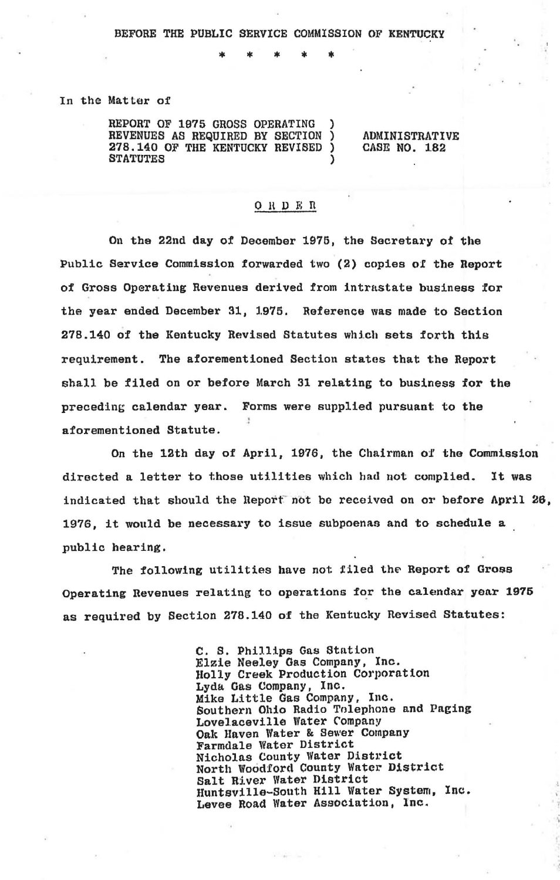\* \* \* \*

In the Matlar of

REPORT OF 1975 GROSS OPERATING ) **REVENUES AS REQUIRED BY SECTION )**<br>278.140.0F THE KENTUCKY BEVIRED ) 278.140 OF THE KENTUCKY REVISED **STATUTES** 

ADMINISTRATIVE CASE NO. 1.82

## 0 R D E R

On the 22nd day of December 1975, the Secretary of the Public Service Commission forwarded two (2) copies of the Report of Gross Operating Revenues derived from intrastate business for the year ended December 31, l.975. Reference was made to Section 278.140 of the Kentucky Revised Statutes which sets forth this requirement. Tbe aforementioned Section states that the Report shall be filed on or before March 31 relating to business for the preceding calendar year. Forms were supplied pursuant: to the aforementioned Statute.

On the 12th day of April, 1976, the Chairman of the Commission directed a letter to those utilities which had not complied. It was indicated that should the Report not be received on or before April 26, 1976, it would be necessary to issue subpoenas and to schedule a public hearing.

The following utilities have not filed the Report of Gross Operating Revenues relating to operations for the calendar year 1975 as required by Section 278.140 of the Kentucky Revised Statutes:

> C. S. Phillips Gas Station Elzie Neeley Gas Company, Inc. Holly Creek Production Corporation Lyda Gas Company, Inc. Mike Little Gas Company, Inc. Southern Ohio Radio Tolephone and Paging Lovelaceville Water Company<br>Oak Haven Water & Sewer Company<br>Farmdale Water District Nicholas County Water District North Woodford County Water District Salt River Water District Huntsville-South Hill Water System, Inc. Levee Road Water Association, Inc.